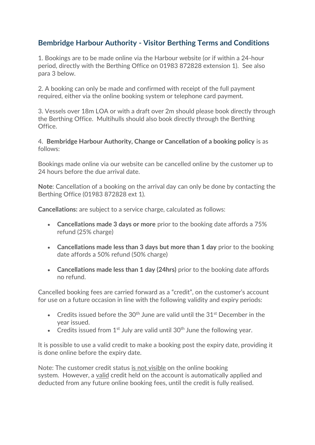## **Bembridge Harbour Authority - Visitor Berthing Terms and Conditions**

1. Bookings are to be made online via the Harbour website (or if within a 24-hour period, directly with the Berthing Office on 01983 872828 extension 1). See also para 3 below.

2. A booking can only be made and confirmed with receipt of the full payment required, either via the online booking system or telephone card payment.

3. Vessels over 18m LOA or with a draft over 2m should please book directly through the Berthing Office. Multihulls should also book directly through the Berthing Office.

4. **Bembridge Harbour Authority, Change or Cancellation of a booking policy** is as follows:

Bookings made online via our website can be cancelled online by the customer up to 24 hours before the due arrival date.

**Note**: Cancellation of a booking on the arrival day can only be done by contacting the Berthing Office (01983 872828 ext 1).

**Cancellations:** are subject to a service charge, calculated as follows:

- **Cancellations made 3 days or more** prior to the booking date affords a 75% refund (25% charge)
- **Cancellations made less than 3 days but more than 1 day** prior to the booking date affords a 50% refund (50% charge)
- **Cancellations made less than 1 day (24hrs)** prior to the booking date affords no refund.

Cancelled booking fees are carried forward as a "credit", on the customer's account for use on a future occasion in line with the following validity and expiry periods:

- Credits issued before the  $30<sup>th</sup>$  June are valid until the  $31<sup>st</sup>$  December in the year issued.
- Credits issued from  $1<sup>st</sup>$  July are valid until 30<sup>th</sup> June the following year.

It is possible to use a valid credit to make a booking post the expiry date, providing it is done online before the expiry date.

Note: The customer credit status is not visible on the online booking system. However, a valid credit held on the account is automatically applied and deducted from any future online booking fees, until the credit is fully realised.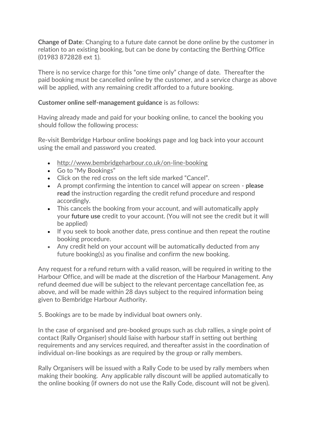**Change of Date**: Changing to a future date cannot be done online by the customer in relation to an existing booking, but can be done by contacting the Berthing Office (01983 872828 ext 1).

There is no service charge for this "one time only" change of date. Thereafter the paid booking must be cancelled online by the customer, and a service charge as above will be applied, with any remaining credit afforded to a future booking.

## **Customer online self-management guidance** is as follows:

Having already made and paid for your booking online, to cancel the booking you should follow the following process:

Re-visit Bembridge Harbour online bookings page and log back into your account using the email and password you created.

- <http://www.bembridgeharbour.co.uk/on-line-booking>
- Go to "My Bookings"
- Click on the red cross on the left side marked "Cancel".
- A prompt confirming the intention to cancel will appear on screen **please read** the instruction regarding the credit refund procedure and respond accordingly.
- This cancels the booking from your account, and will automatically apply your **future use** credit to your account. (You will not see the credit but it will be applied)
- If you seek to book another date, press continue and then repeat the routine booking procedure.
- Any credit held on your account will be automatically deducted from any future booking(s) as you finalise and confirm the new booking.

Any request for a refund return with a valid reason, will be required in writing to the Harbour Office, and will be made at the discretion of the Harbour Management. Any refund deemed due will be subject to the relevant percentage cancellation fee, as above, and will be made within 28 days subject to the required information being given to Bembridge Harbour Authority.

5. Bookings are to be made by individual boat owners only.

In the case of organised and pre-booked groups such as club rallies, a single point of contact (Rally Organiser) should liaise with harbour staff in setting out berthing requirements and any services required, and thereafter assist in the coordination of individual on-line bookings as are required by the group or rally members.

Rally Organisers will be issued with a Rally Code to be used by rally members when making their booking. Any applicable rally discount will be applied automatically to the online booking (if owners do not use the Rally Code, discount will not be given).